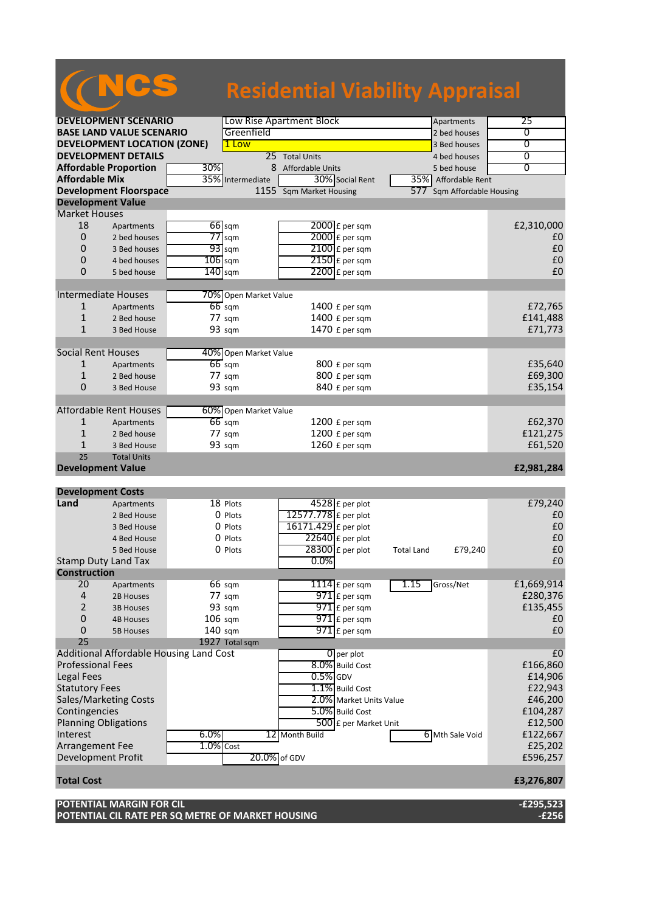# NCS **Residential Viability Appraisal**

|                                         | <b>DEVELOPMENT SCENARIO</b>                    |              |                       | Low Rise Apartment Block                | Apartments                   | 25                  |
|-----------------------------------------|------------------------------------------------|--------------|-----------------------|-----------------------------------------|------------------------------|---------------------|
|                                         | <b>BASE LAND VALUE SCENARIO</b>                |              | Greenfield            |                                         | 2 bed houses                 | $\overline{0}$      |
|                                         | <b>DEVELOPMENT LOCATION (ZONE)</b>             |              | 1 Low                 |                                         | 3 Bed houses                 | 0                   |
|                                         | <b>DEVELOPMENT DETAILS</b>                     |              |                       | 25 Total Units                          | 4 bed houses                 | $\overline{0}$      |
|                                         | <b>Affordable Proportion</b>                   | 30%          |                       | 8 Affordable Units                      | 5 bed house                  | 0                   |
| <b>Affordable Mix</b>                   |                                                |              | 35% Intermediate      | 30% Social Rent                         | 35% Affordable Rent          |                     |
|                                         | <b>Development Floorspace</b>                  |              |                       | 1155 Sqm Market Housing                 | 577 Sqm Affordable Housing   |                     |
| <b>Development Value</b>                |                                                |              |                       |                                         |                              |                     |
| <b>Market Houses</b>                    |                                                |              |                       |                                         |                              |                     |
| 18                                      | Apartments                                     |              | $66$ sqm              | $2000$ £ per sqm                        |                              | £2,310,000          |
| 0                                       | 2 bed houses                                   |              | $77$ sqm              | 2000 £ per sqm                          |                              | £0                  |
| 0                                       | 3 Bed houses                                   |              | $93$ sqm              | $2100$ £ per sqm                        |                              | £0                  |
| 0                                       | 4 bed houses                                   | $106$ sqm    |                       | $2150$ £ per sqm                        |                              | £0                  |
| 0                                       | 5 bed house                                    | $140$ sqm    |                       | $2200$ £ per sqm                        |                              | £0                  |
|                                         |                                                |              |                       |                                         |                              |                     |
|                                         | <b>Intermediate Houses</b>                     |              | 70% Open Market Value |                                         |                              |                     |
| 1                                       | Apartments                                     |              | $66$ sqm              | 1400 £ per sqm                          |                              | £72,765             |
| 1                                       | 2 Bed house                                    |              | 77 sqm                | 1400 £ per sqm                          |                              | £141,488            |
| $\mathbf{1}$                            | 3 Bed House                                    |              | 93 sqm                | 1470 £ per sqm                          |                              | £71,773             |
|                                         |                                                |              |                       |                                         |                              |                     |
| <b>Social Rent Houses</b>               |                                                |              | 40% Open Market Value |                                         |                              |                     |
| 1                                       | Apartments                                     |              | $66$ sqm              | 800 £ per sqm                           |                              | £35,640             |
| $\mathbf{1}$                            | 2 Bed house                                    |              | $77 \text{ sqm}$      | 800 £ per sqm                           |                              | £69,300             |
| 0                                       | 3 Bed House                                    |              | 93 sqm                | 840 £ per sqm                           |                              | £35,154             |
|                                         |                                                |              |                       |                                         |                              |                     |
|                                         | <b>Affordable Rent Houses</b>                  |              | 60% Open Market Value |                                         |                              |                     |
| 1                                       | Apartments                                     |              | $66$ sqm              | 1200 £ per sqm                          |                              | £62,370             |
| $\mathbf{1}$                            | 2 Bed house                                    |              | 77 sqm                | 1200 £ per sqm                          |                              | £121,275            |
| 1                                       | 3 Bed House                                    |              | 93 sqm                | 1260 £ per sqm                          |                              | £61,520             |
| 25                                      | <b>Total Units</b>                             |              |                       |                                         |                              |                     |
| <b>Development Value</b>                |                                                |              |                       |                                         |                              | £2,981,284          |
|                                         |                                                |              |                       |                                         |                              |                     |
| <b>Development Costs</b>                |                                                |              |                       |                                         |                              |                     |
| Land                                    | Apartments                                     |              | 18 Plots              | 4528 £ per plot                         |                              | £79,240             |
|                                         | 2 Bed House                                    |              | 0 Plots               | 12577.778 £ per plot                    |                              | £0                  |
|                                         | 3 Bed House                                    |              | 0 Plots               | 16171.429 £ per plot                    |                              | £0                  |
|                                         | 4 Bed House                                    |              | 0 Plots               | $22640$ £ per plot                      |                              | £0                  |
|                                         | 5 Bed House                                    |              | 0 Plots               |                                         |                              |                     |
|                                         | <b>Stamp Duty Land Tax</b>                     |              |                       | 28300 £ per plot                        | £79,240<br><b>Total Land</b> | £0                  |
| <b>Construction</b>                     |                                                |              |                       | $0.0\%$                                 |                              | £0                  |
|                                         |                                                |              |                       |                                         |                              |                     |
| 20                                      | Apartments                                     |              | $66 \text{ sqm}$      | 1114 $E$ per sqm                        | 1.15<br>Gross/Net            | £1,669,914          |
| 4                                       | 2B Houses                                      |              | 77 sqm                | 971 £ per sqm                           |                              | £280,376            |
| 2                                       | <b>3B Houses</b>                               |              | 93 sqm                | $971$ £ per sqm                         |                              | £135,455            |
| 0                                       | <b>4B Houses</b>                               | $106$ sqm    |                       | 971 £ per sqm                           |                              | £0                  |
| 0                                       | <b>5B Houses</b>                               | 140 sqm      |                       | $971$ $E$ per sqm                       |                              | £0                  |
| 25                                      |                                                |              | 1927 Total sqm        |                                         |                              |                     |
|                                         | <b>Additional Affordable Housing Land Cost</b> |              |                       | $0$ per plot                            |                              | £0                  |
| <b>Professional Fees</b>                |                                                |              |                       | 8.0% Build Cost                         |                              | £166,860            |
| <b>Legal Fees</b>                       |                                                |              |                       | $0.5\%$ GDV                             |                              | £14,906             |
| <b>Statutory Fees</b>                   |                                                |              |                       | 1.1% Build Cost                         |                              | £22,943             |
|                                         | Sales/Marketing Costs                          |              |                       | 2.0% Market Units Value                 |                              | £46,200             |
| Contingencies                           |                                                |              |                       | 5.0% Build Cost                         |                              | £104,287            |
|                                         |                                                |              |                       |                                         |                              | £12,500             |
| <b>Planning Obligations</b><br>Interest |                                                | 6.0%         |                       | 500 £ per Market Unit<br>12 Month Build | 6 Mth Sale Void              | £122,667            |
| Arrangement Fee                         |                                                | $1.0\%$ Cost |                       |                                         |                              |                     |
| Development Profit                      |                                                |              | 20.0% of GDV          |                                         |                              | £25,202<br>£596,257 |
|                                         |                                                |              |                       |                                         |                              |                     |
| <b>Total Cost</b>                       |                                                |              |                       |                                         |                              | £3,276,807          |
|                                         |                                                |              |                       |                                         |                              |                     |

**POTENTIAL CIL RATE PER SQ METRE OF MARKET HOUSING -£256**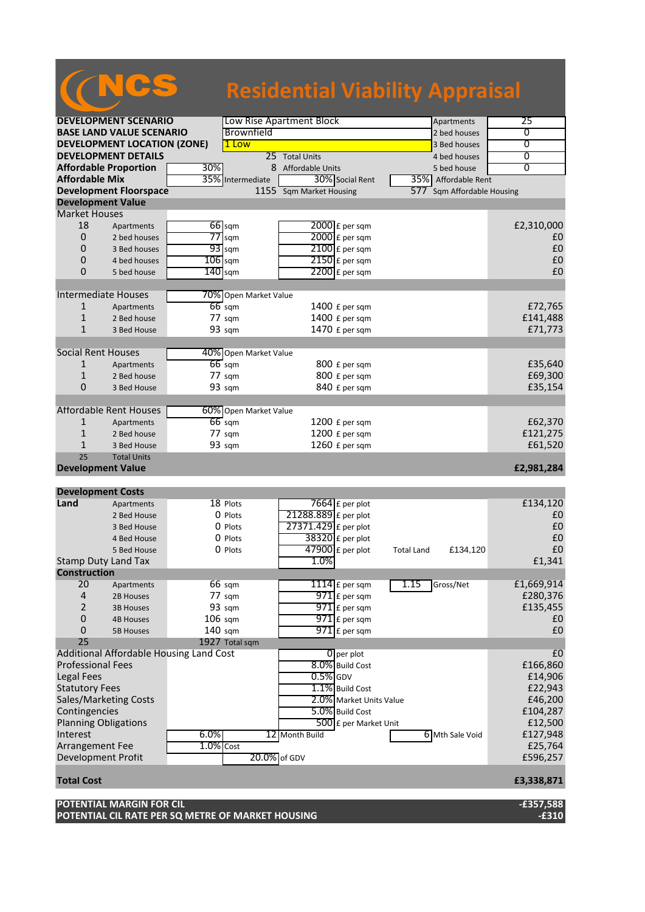## NCS **Residential Viability Appraisal**

| <b>DEVELOPMENT SCENARIO</b>        |                                         |           | Low Rise Apartment Block<br>Apartments |                         |                         |                   | 25                         |                |
|------------------------------------|-----------------------------------------|-----------|----------------------------------------|-------------------------|-------------------------|-------------------|----------------------------|----------------|
|                                    | <b>BASE LAND VALUE SCENARIO</b>         |           | Brownfield                             |                         |                         |                   | 2 bed houses               | 0              |
| <b>DEVELOPMENT LOCATION (ZONE)</b> |                                         |           | 1 Low<br>3 Bed houses                  |                         |                         |                   |                            | $\overline{0}$ |
| <b>DEVELOPMENT DETAILS</b>         |                                         |           |                                        | 25 Total Units          |                         |                   | 4 bed houses               | $\overline{0}$ |
|                                    | <b>Affordable Proportion</b>            | 30%       |                                        | 8 Affordable Units      |                         |                   | 5 bed house                | $\overline{0}$ |
| <b>Affordable Mix</b>              |                                         |           | 35% Intermediate                       |                         | 30% Social Rent         |                   | 35% Affordable Rent        |                |
|                                    | <b>Development Floorspace</b>           |           |                                        | 1155 Sqm Market Housing |                         |                   | 577 Sqm Affordable Housing |                |
| <b>Development Value</b>           |                                         |           |                                        |                         |                         |                   |                            |                |
| <b>Market Houses</b>               |                                         |           |                                        |                         |                         |                   |                            |                |
| 18                                 | Apartments                              |           | $66$ sqm                               |                         | 2000 £ per sqm          |                   |                            | £2,310,000     |
| 0                                  | 2 bed houses                            | 77        | sqm                                    |                         | 2000 £ per sqm          |                   |                            | £0             |
| 0                                  | 3 Bed houses                            |           | $93$ sqm                               |                         | $2100$ £ per sqm        |                   |                            | £0             |
|                                    |                                         |           |                                        |                         | $2150$ £ per sqm        |                   |                            | £0             |
| 0                                  | 4 bed houses                            | $106$ sqm |                                        |                         |                         |                   |                            | £0             |
| 0                                  | 5 bed house                             | $140$ sqm |                                        |                         | $2200$ £ per sqm        |                   |                            |                |
|                                    |                                         |           |                                        |                         |                         |                   |                            |                |
| <b>Intermediate Houses</b>         |                                         |           | 70% Open Market Value                  |                         |                         |                   |                            |                |
| $\mathbf{1}$                       | Apartments                              |           | $66$ sqm                               |                         | 1400 $f$ per sqm        |                   |                            | £72,765        |
| $\mathbf{1}$                       | 2 Bed house                             |           | 77 sqm                                 |                         | 1400 £ per sqm          |                   |                            | £141,488       |
| $\mathbf{1}$                       | 3 Bed House                             |           | 93 sqm                                 |                         | 1470 £ per sqm          |                   |                            | £71,773        |
|                                    |                                         |           |                                        |                         |                         |                   |                            |                |
| <b>Social Rent Houses</b>          |                                         |           | 40% Open Market Value                  |                         |                         |                   |                            |                |
| 1                                  | Apartments                              |           | $66$ sqm                               |                         | 800 £ per sqm           |                   |                            | £35,640        |
| $\mathbf{1}$                       | 2 Bed house                             |           | 77 sqm                                 |                         | 800 £ per sqm           |                   |                            | £69,300        |
| 0                                  | 3 Bed House                             |           | 93 sqm                                 |                         | 840 £ per sqm           |                   |                            | £35,154        |
|                                    |                                         |           |                                        |                         |                         |                   |                            |                |
|                                    | <b>Affordable Rent Houses</b>           |           | 60% Open Market Value                  |                         |                         |                   |                            |                |
| $\mathbf{1}$                       | Apartments                              |           | $66$ sqm                               |                         | $1200$ £ per sqm        |                   |                            | £62,370        |
| $\mathbf{1}$                       | 2 Bed house                             |           | 77 sqm                                 |                         | 1200 £ per sqm          |                   |                            | £121,275       |
| $\mathbf{1}$                       | 3 Bed House                             |           | 93 sqm                                 |                         | 1260 £ per sqm          |                   |                            | £61,520        |
| 25                                 | <b>Total Units</b>                      |           |                                        |                         |                         |                   |                            |                |
| <b>Development Value</b>           |                                         |           |                                        |                         |                         |                   |                            | £2,981,284     |
|                                    |                                         |           |                                        |                         |                         |                   |                            |                |
| <b>Development Costs</b>           |                                         |           |                                        |                         |                         |                   |                            |                |
| Land                               | Apartments                              |           | 18 Plots                               |                         | $7664$ £ per plot       |                   |                            | £134,120       |
|                                    | 2 Bed House                             |           | 0 Plots                                | 21288.889 £ per plot    |                         |                   |                            | £0             |
|                                    | 3 Bed House                             |           | 0 Plots                                | 27371.429 £ per plot    |                         |                   |                            | £0             |
|                                    | 4 Bed House                             |           | 0 Plots                                |                         | $38320$ £ per plot      |                   |                            | £0             |
|                                    |                                         |           |                                        |                         |                         |                   |                            | £0             |
|                                    | 5 Bed House                             |           | 0 Plots                                | 1.0%                    | 47900 £ per plot        | <b>Total Land</b> | £134,120                   |                |
| <b>Stamp Duty Land Tax</b>         |                                         |           |                                        |                         |                         |                   |                            | £1,341         |
| <b>Construction</b>                |                                         |           |                                        |                         |                         |                   |                            |                |
| 20                                 | Apartments                              |           | $66 \text{ sqm}$                       |                         | 1114 $f$ per sqm        | 1.15              | Gross/Net                  | £1,669,914     |
| 4                                  | 2B Houses                               |           | 77 sqm                                 |                         | 971 £ per sqm           |                   |                            | £280,376       |
| 2                                  | <b>3B Houses</b>                        |           | 93 sqm                                 |                         | $971$ $E$ per sqm       |                   |                            | £135,455       |
| 0                                  | <b>4B Houses</b>                        | $106$ sqm |                                        |                         | $971$ $E$ per sqm       |                   |                            | £0             |
| 0                                  | <b>5B Houses</b>                        | 140 sqm   |                                        |                         | $971$ E per sqm         |                   |                            | £0             |
| 25                                 |                                         |           | 1927 Total sqm                         |                         |                         |                   |                            |                |
|                                    | Additional Affordable Housing Land Cost |           |                                        |                         | $0$ per plot            |                   |                            | £0             |
| <b>Professional Fees</b>           |                                         |           |                                        |                         | 8.0% Build Cost         |                   |                            | £166,860       |
| <b>Legal Fees</b>                  |                                         |           |                                        | $0.5\%$ GDV             |                         |                   |                            | £14,906        |
| <b>Statutory Fees</b>              |                                         |           |                                        |                         | 1.1% Build Cost         |                   |                            | £22,943        |
|                                    | <b>Sales/Marketing Costs</b>            |           |                                        |                         | 2.0% Market Units Value |                   |                            | £46,200        |
| Contingencies                      |                                         |           |                                        |                         | 5.0% Build Cost         |                   |                            | £104,287       |
| <b>Planning Obligations</b>        |                                         |           |                                        |                         | 500 £ per Market Unit   |                   |                            | £12,500        |
|                                    |                                         | 6.0%      |                                        | 12 Month Build          |                         |                   | 6 Mth Sale Void            | £127,948       |
|                                    |                                         |           |                                        |                         |                         |                   |                            |                |
| Interest                           |                                         |           |                                        |                         |                         |                   |                            |                |
| Arrangement Fee                    |                                         | 1.0% Cost |                                        |                         |                         |                   |                            | £25,764        |
| Development Profit                 |                                         |           | 20.0% of GDV                           |                         |                         |                   |                            | £596,257       |
|                                    |                                         |           |                                        |                         |                         |                   |                            |                |
| <b>Total Cost</b>                  |                                         |           |                                        |                         |                         |                   |                            | £3,338,871     |
|                                    | <b>POTENTIAL MARGIN FOR CIL</b>         |           |                                        |                         |                         |                   |                            | $-£357,588$    |

**POTENTIAL CIL RATE PER SQ METRE OF MARKET HOUSING -£310**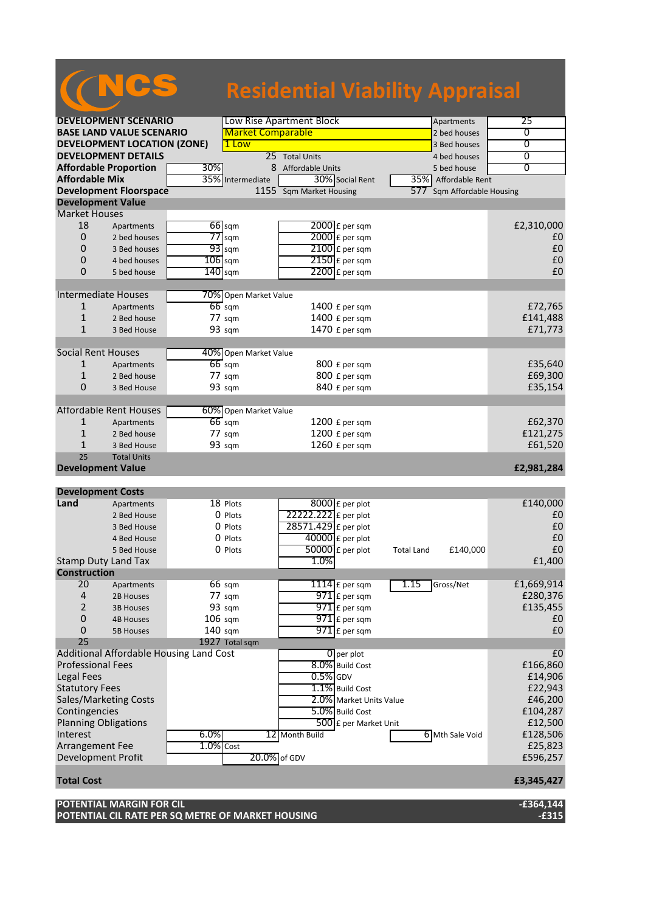|                           |                                         |              |                          | <b>Residential Viability Appraisal</b> |                               |                     |
|---------------------------|-----------------------------------------|--------------|--------------------------|----------------------------------------|-------------------------------|---------------------|
|                           |                                         |              |                          |                                        |                               |                     |
|                           | <b>DEVELOPMENT SCENARIO</b>             |              |                          | Low Rise Apartment Block               | Apartments                    | 25                  |
|                           | <b>BASE LAND VALUE SCENARIO</b>         |              | <b>Market Comparable</b> |                                        | 2 bed houses                  | 0                   |
|                           | <b>DEVELOPMENT LOCATION (ZONE)</b>      |              | 1 Low                    | $\overline{0}$                         |                               |                     |
|                           | <b>DEVELOPMENT DETAILS</b>              |              |                          | 0                                      |                               |                     |
|                           | <b>Affordable Proportion</b>            | 30%          | 8                        | 25 Total Units<br>Affordable Units     | 4 bed houses<br>5 bed house   | 0                   |
| <b>Affordable Mix</b>     |                                         |              | 35% Intermediate         | 30% Social Rent                        | 35% Affordable Rent           |                     |
|                           | <b>Development Floorspace</b>           |              |                          | 1155 Sqm Market Housing                | Sqm Affordable Housing<br>577 |                     |
| <b>Development Value</b>  |                                         |              |                          |                                        |                               |                     |
| <b>Market Houses</b>      |                                         |              |                          |                                        |                               |                     |
| 18                        | Apartments                              |              | 66 sqm                   | 2000 £ per sqm                         |                               | £2,310,000          |
| 0                         | 2 bed houses                            |              | $77$ sqm                 | 2000 £ per sqm                         |                               | £0                  |
| 0                         | 3 Bed houses                            |              | $93$ sqm                 | $2100$ £ per sqm                       |                               | £0                  |
| 0                         | 4 bed houses                            | $106$ sqm    |                          | 2150 £ per sqm                         |                               | £0                  |
| $\Omega$                  | 5 bed house                             | $140$ sqm    |                          | $2200$ £ per sqm                       |                               | £0                  |
|                           |                                         |              |                          |                                        |                               |                     |
|                           | <b>Intermediate Houses</b>              |              | 70% Open Market Value    |                                        |                               |                     |
| $\mathbf{1}$              | Apartments                              |              | $66$ sqm                 | 1400 $f$ per sqm                       |                               | £72,765             |
| 1                         | 2 Bed house                             |              | $77 \text{ sqm}$         | 1400 £ per sqm                         |                               | £141,488            |
| $\mathbf{1}$              | 3 Bed House                             |              | 93 sqm                   | 1470 £ per sqm                         |                               | £71,773             |
|                           |                                         |              |                          |                                        |                               |                     |
| <b>Social Rent Houses</b> |                                         |              | 40% Open Market Value    |                                        |                               |                     |
| 1                         | Apartments                              |              | $66$ sqm                 | 800 £ per sqm                          |                               | £35,640             |
| 1                         | 2 Bed house                             |              | 77 sqm                   | 800 £ per sqm                          |                               | £69,300             |
| $\overline{0}$            | 3 Bed House                             |              | 93 sqm                   | 840 £ per sqm                          |                               | £35,154             |
|                           |                                         |              |                          |                                        |                               |                     |
|                           | <b>Affordable Rent Houses</b>           |              | 60% Open Market Value    |                                        |                               |                     |
| 1                         | Apartments                              |              | $66$ sqm                 | $1200$ £ per sqm                       |                               | £62,370             |
| 1                         | 2 Bed house                             |              | $77 \text{ sqm}$         | 1200 £ per sqm                         |                               | £121,275            |
| $\mathbf{1}$              | 3 Bed House                             |              | 93 sqm                   | 1260 £ per sqm                         |                               | £61,520             |
| 25                        | <b>Total Units</b>                      |              |                          |                                        |                               |                     |
| <b>Development Value</b>  |                                         |              |                          |                                        |                               | £2,981,284          |
|                           |                                         |              |                          |                                        |                               |                     |
| <b>Development Costs</b>  |                                         |              |                          |                                        |                               |                     |
| Land                      | Apartments                              |              | 18 Plots                 | 8000 £ per plot                        |                               | £140,000            |
|                           | 2 Bed House                             |              | 0 Plots                  | 22222.222 £ per plot                   |                               | £0                  |
|                           | 3 Bed House                             |              | 0 Plots                  | 28571.429 £ per plot                   |                               | £0                  |
|                           | 4 Bed House                             |              | 0 Plots                  | $40000$ £ per plot                     |                               | £0                  |
|                           | 5 Bed House                             |              | 0 Plots                  | $50000$ £ per plot                     | £140,000<br><b>Total Land</b> | $\pmb{\text{f0}}$   |
| <b>Construction</b>       | <b>Stamp Duty Land Tax</b>              |              |                          | 1.0%                                   |                               | £1,400              |
|                           |                                         |              |                          |                                        |                               |                     |
| 20                        | Apartments                              |              | 66 sqm                   | $1114$ $E$ per sqm                     | 1.15<br>Gross/Net             | £1,669,914          |
| 4                         | 2B Houses                               |              | 77 sqm                   | $971$ $E$ per sqm                      |                               | £280,376            |
| 2                         | <b>3B Houses</b>                        |              | 93 sqm                   | $971$ $E$ per sqm                      |                               | £135,455            |
| $\mathbf 0$               | <b>4B Houses</b>                        | 106 sqm      |                          | $971$ $E$ per sqm<br>$971$ E per sqm   |                               | £0<br>£0            |
| 0<br>25                   | <b>5B Houses</b>                        | $140$ sqm    | 1927 Total sqm           |                                        |                               |                     |
|                           | Additional Affordable Housing Land Cost |              |                          | $0$ per plot                           |                               | £0                  |
| <b>Professional Fees</b>  |                                         |              |                          | 8.0% Build Cost                        |                               | £166,860            |
| Legal Fees                |                                         |              |                          | $0.5\%$ GDV                            |                               | £14,906             |
| <b>Statutory Fees</b>     |                                         |              |                          | 1.1% Build Cost                        |                               | £22,943             |
|                           | Sales/Marketing Costs                   |              |                          | 2.0% Market Units Value                |                               | £46,200             |
|                           |                                         |              |                          |                                        |                               |                     |
| Contingencies             |                                         |              |                          | 5.0% Build Cost                        |                               | £104,287            |
| Interest                  | <b>Planning Obligations</b>             | 6.0%         |                          | 500 £ per Market Unit                  | 6 Mth Sale Void               | £12,500             |
| Arrangement Fee           |                                         | $1.0\%$ Cost |                          | 12 Month Build                         |                               | £128,506<br>£25,823 |
| Development Profit        |                                         |              | 20.0% of GDV             |                                        |                               | £596,257            |
|                           |                                         |              |                          |                                        |                               |                     |

### **Total Cost £3,345,427**

### **POTENTIAL MARGIN FOR CIL -£364,144 POTENTIAL CIL RATE PER SQ METRE OF MARKET HOUSING -£315**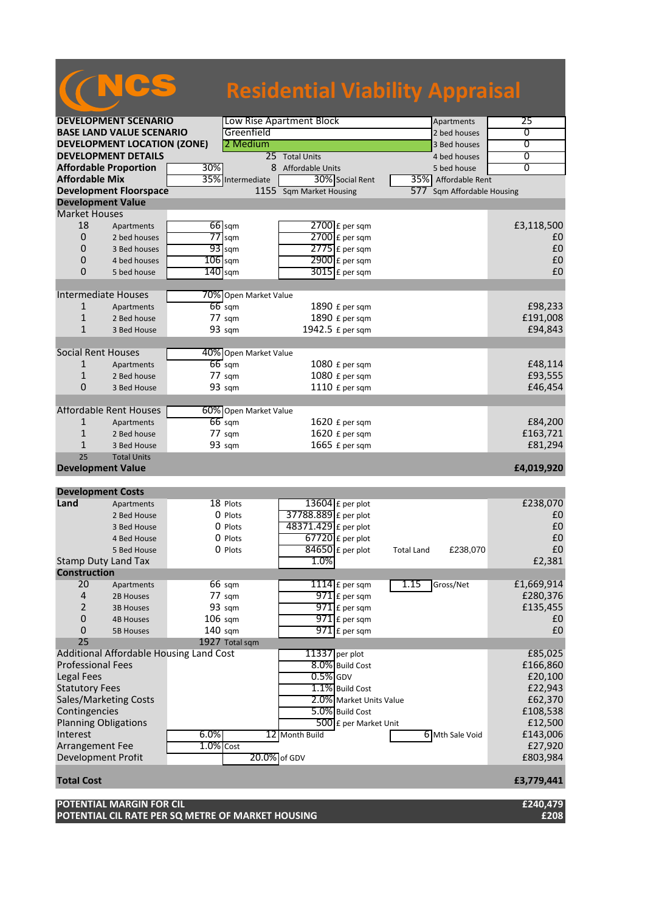|                                |                                    |                                         |                                  | <b>Residential Viability Appraisal</b> |                               |                   |                        |                   |
|--------------------------------|------------------------------------|-----------------------------------------|----------------------------------|----------------------------------------|-------------------------------|-------------------|------------------------|-------------------|
|                                |                                    |                                         |                                  |                                        |                               |                   |                        |                   |
|                                | <b>DEVELOPMENT SCENARIO</b>        |                                         |                                  | Low Rise Apartment Block               |                               |                   | Apartments             | 25                |
|                                | <b>BASE LAND VALUE SCENARIO</b>    |                                         | Greenfield                       |                                        |                               |                   | 2 bed houses           | 0                 |
|                                | <b>DEVELOPMENT LOCATION (ZONE)</b> |                                         | 2 Medium                         |                                        |                               |                   | 3 Bed houses           | 0                 |
|                                | <b>DEVELOPMENT DETAILS</b>         |                                         |                                  | 25 Total Units                         |                               |                   | 4 bed houses           | 0                 |
|                                | <b>Affordable Proportion</b>       | 30%                                     | 8                                | Affordable Units                       |                               |                   | 5 bed house            | $\overline{0}$    |
| <b>Affordable Mix</b>          |                                    |                                         | 35% Intermediate                 |                                        | 30% Social Rent               |                   | 35% Affordable Rent    |                   |
|                                | <b>Development Floorspace</b>      |                                         | $1155$ <sup><math>-</math></sup> | <b>Sqm Market Housing</b>              |                               | 577               | Sqm Affordable Housing |                   |
| <b>Development Value</b>       |                                    |                                         |                                  |                                        |                               |                   |                        |                   |
| <b>Market Houses</b>           |                                    |                                         |                                  |                                        |                               |                   |                        |                   |
| 18                             | Apartments                         | $66$ sqm                                |                                  |                                        | $2700$ £ per sqm              |                   |                        | £3,118,500        |
| $\mathbf{0}$                   | 2 bed houses                       | $77$ sqm                                |                                  |                                        | $2700$ £ per sqm              |                   |                        | £0                |
| 0                              | 3 Bed houses                       | $93$ sqm                                |                                  |                                        | $2775$ $E$ per sqm            |                   |                        | £0                |
| 0                              | 4 bed houses                       | $106$ sqm                               |                                  |                                        | 2900 £ per sqm                |                   |                        | £0                |
| $\Omega$                       | 5 bed house                        | $140$ sqm                               |                                  |                                        | $3015$ £ per sqm              |                   |                        | £0                |
| <b>Intermediate Houses</b>     |                                    |                                         | 70% Open Market Value            |                                        |                               |                   |                        |                   |
| $\mathbf{1}$                   | Apartments                         | $66$ sqm                                |                                  |                                        | 1890 £ per sqm                |                   |                        | £98,233           |
| $\mathbf{1}$                   | 2 Bed house                        | 77 sqm                                  |                                  |                                        | 1890 £ per sqm                |                   |                        | £191,008          |
| $\mathbf{1}$                   | 3 Bed House                        | 93 sqm                                  |                                  |                                        | 1942.5 £ per sqm              |                   |                        | £94,843           |
| <b>Social Rent Houses</b>      |                                    |                                         | 40% Open Market Value            |                                        |                               |                   |                        |                   |
| 1                              | Apartments                         | $66$ sqm                                |                                  |                                        | 1080 £ per sqm                |                   |                        | £48,114           |
| $\mathbf{1}$                   | 2 Bed house                        | 77 sqm                                  |                                  |                                        | 1080 £ per sqm                |                   |                        | £93,555           |
| $\mathbf{0}$                   | 3 Bed House                        | 93 sqm                                  |                                  |                                        | 1110 £ per sqm                |                   |                        | £46,454           |
|                                |                                    |                                         |                                  |                                        |                               |                   |                        |                   |
|                                | <b>Affordable Rent Houses</b>      |                                         | 60% Open Market Value            |                                        |                               |                   |                        |                   |
| 1                              | Apartments                         | $66$ sqm                                |                                  |                                        | 1620 £ per sqm                |                   |                        | £84,200           |
| $\mathbf{1}$                   | 2 Bed house                        | $77 \text{ sqm}$                        |                                  |                                        | 1620 £ per sqm                |                   |                        | £163,721          |
| $\mathbf{1}$                   | 3 Bed House                        | 93 sqm                                  |                                  |                                        | 1665 £ per sqm                |                   |                        | £81,294           |
| 25<br><b>Development Value</b> | <b>Total Units</b>                 |                                         |                                  |                                        |                               |                   |                        | £4,019,920        |
| <b>Development Costs</b>       |                                    |                                         |                                  |                                        |                               |                   |                        |                   |
| Land                           | Apartments                         | 18 Plots                                |                                  |                                        | 13604 £ per plot              |                   |                        | £238,070          |
|                                | 2 Bed House                        | 0 Plots                                 |                                  | 37788.889 £ per plot                   |                               |                   |                        | £0                |
|                                | 3 Bed House                        | 0 Plots                                 |                                  | 48371.429 £ per plot                   |                               |                   |                        | £0                |
|                                | 4 Bed House                        | 0 Plots                                 |                                  |                                        | $67720$ £ per plot            |                   |                        | £0                |
|                                | 5 Bed House                        | 0 Plots                                 |                                  |                                        | $\overline{84650}$ £ per plot | <b>Total Land</b> | £238,070               | $\pmb{\text{f0}}$ |
|                                |                                    |                                         |                                  | 1.0%                                   |                               |                   |                        | £2,381            |
| <b>Construction</b>            | Stamp Duty Land Tax                |                                         |                                  |                                        |                               |                   |                        |                   |
| 20                             | Apartments                         | $66 \text{ sqm}$                        |                                  |                                        | $1114$ $E$ per sqm            | 1.15              | Gross/Net              | £1,669,914        |
| $\overline{a}$                 | 2B Houses                          | 77 sqm                                  |                                  |                                        | $971$ £ per sqm               |                   |                        | £280,376          |
| 2                              | <b>3B Houses</b>                   | 93 sqm                                  |                                  |                                        | $971$ $E$ per sqm             |                   |                        | £135,455          |
| $\mathbf 0$                    | <b>4B Houses</b>                   | $106$ sqm                               |                                  |                                        | $971$ $E$ per sqm             |                   |                        | £0                |
| 0                              | <b>5B Houses</b>                   | $140$ sqm                               |                                  |                                        | $971$ E per sqm               |                   |                        | £0                |
| 25                             |                                    | 1927 Total sqm                          |                                  |                                        |                               |                   |                        |                   |
|                                |                                    | Additional Affordable Housing Land Cost |                                  | 11337 per plot                         |                               |                   |                        | £85,025           |
| <b>Professional Fees</b>       |                                    |                                         |                                  |                                        | 8.0% Build Cost               |                   |                        | £166,860          |
| <b>Legal Fees</b>              |                                    |                                         |                                  | $0.5%$ GDV                             |                               |                   |                        | £20,100           |
| <b>Statutory Fees</b>          |                                    |                                         |                                  |                                        | 1.1% Build Cost               |                   |                        | £22,943           |
|                                | Sales/Marketing Costs              |                                         |                                  |                                        | 2.0% Market Units Value       |                   |                        | £62,370           |
| Contingencies                  |                                    |                                         |                                  |                                        | 5.0% Build Cost               |                   |                        | £108,538          |
| <b>Planning Obligations</b>    |                                    |                                         |                                  |                                        | 500 £ per Market Unit         |                   |                        | £12,500           |
| Interest                       |                                    | 6.0%                                    |                                  | 12 Month Build                         |                               |                   | 6 Mth Sale Void        | £143,006          |
| Arrangement Fee                |                                    | $1.0\%$ Cost                            |                                  |                                        |                               |                   |                        | £27,920           |
| <b>Development Profit</b>      |                                    |                                         | 20.0% of GDV                     |                                        |                               |                   |                        | £803,984          |
| <b>Total Cost</b>              |                                    |                                         |                                  |                                        |                               |                   |                        | £3,779,441        |
|                                |                                    |                                         |                                  |                                        |                               |                   |                        |                   |

**POTENTIAL MARGIN FOR CIL £240,479 POTENTIAL CIL RATE PER SQ METRE OF MARKET HOUSING £208**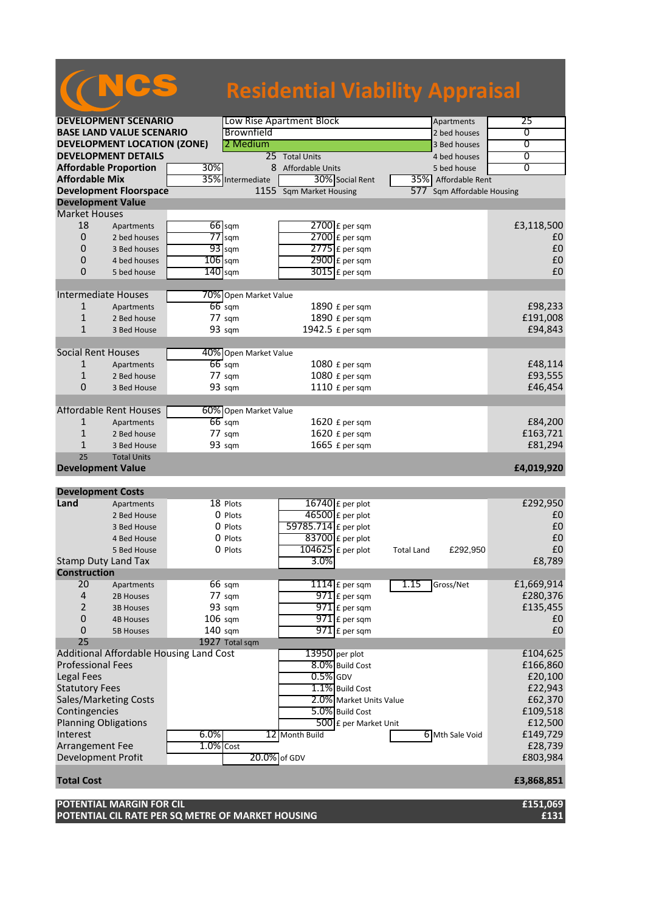|                                                      |                  | <b>Residential Viability Appraisal</b> |                               |                |
|------------------------------------------------------|------------------|----------------------------------------|-------------------------------|----------------|
|                                                      |                  |                                        |                               |                |
| <b>DEVELOPMENT SCENARIO</b>                          |                  | Low Rise Apartment Block               | 25                            |                |
| <b>BASE LAND VALUE SCENARIO</b>                      |                  | Brownfield                             | 2 bed houses                  | 0              |
| <b>DEVELOPMENT LOCATION (ZONE)</b>                   |                  | 2 Medium                               | 3 Bed houses                  | $\overline{0}$ |
| <b>DEVELOPMENT DETAILS</b>                           |                  | 25 Total Units                         | 4 bed houses                  | 0              |
| <b>Affordable Proportion</b>                         | 30%              | 8 Affordable Units                     | 5 bed house                   | $\overline{0}$ |
| <b>Affordable Mix</b>                                | 35%              | 30% Social Rent<br>Intermediate        | 35% Affordable Rent           |                |
| <b>Development Floorspace</b>                        |                  | 1155 Sqm Market Housing                | Sqm Affordable Housing<br>577 |                |
| <b>Development Value</b>                             |                  |                                        |                               |                |
| <b>Market Houses</b>                                 |                  |                                        |                               |                |
| 18<br>Apartments                                     | 66 sqm           | $2700$ £ per sqm                       |                               | £3,118,500     |
| $\overline{0}$<br>2 bed houses                       | $77$ sqm         | 2700 £ per sqm                         |                               | £0             |
| $\mathbf 0$<br>3 Bed houses                          | $93$ sqm         | $2775$ $E$ per sqm                     |                               | £0             |
| 0<br>4 bed houses                                    | $106$ sqm        | $2900$ £ per sqm                       |                               | £0             |
| 0<br>5 bed house                                     | $140$ sqm        | $3015$ $E$ per sqm                     |                               | £0             |
|                                                      |                  |                                        |                               |                |
| <b>Intermediate Houses</b>                           |                  | 70% Open Market Value                  |                               |                |
| $\mathbf{1}$<br>Apartments                           | $66$ sqm         | 1890 £ per sqm                         |                               | £98,233        |
| $\mathbf{1}$<br>2 Bed house                          | 77 sqm           | 1890 £ per sqm                         |                               | £191,008       |
| $\mathbf{1}$<br>3 Bed House                          | 93 sqm           | 1942.5 £ per sqm                       |                               | £94,843        |
| <b>Social Rent Houses</b>                            |                  | 40% Open Market Value                  |                               |                |
| 1<br>Apartments                                      | $66$ sqm         | 1080 £ per sqm                         |                               | £48,114        |
| $\mathbf{1}$<br>2 Bed house                          | 77 sqm           | 1080 £ per sqm                         |                               | £93,555        |
| $\overline{0}$<br>3 Bed House                        | 93 sqm           | 1110 £ per sqm                         |                               | £46,454        |
|                                                      |                  |                                        |                               |                |
| <b>Affordable Rent Houses</b>                        |                  | 60% Open Market Value                  |                               |                |
| 1<br>Apartments                                      | $66$ sqm         | 1620 £ per sqm                         |                               | £84,200        |
| $\mathbf{1}$<br>2 Bed house                          | $77 \text{ sqm}$ | 1620 £ per sqm                         |                               | £163,721       |
| $\mathbf{1}$<br>3 Bed House                          | 93 sqm           | 1665 £ per sqm                         |                               | £81,294        |
| 25<br><b>Total Units</b><br><b>Development Value</b> |                  |                                        |                               |                |
|                                                      |                  |                                        |                               | £4,019,920     |
| <b>Development Costs</b>                             |                  |                                        |                               |                |
| Land<br>Apartments                                   | 18 Plots         | $16740$ £ per plot                     |                               | £292,950       |
| 2 Bed House                                          | 0 Plots          | $46500$ £ per plot                     |                               | £0             |
| 3 Bed House                                          | 0 Plots          | 59785.714 £ per plot                   |                               | £0             |
| 4 Bed House                                          | 0 Plots          | $83700$ £ per plot                     |                               | £0             |
| 5 Bed House                                          | 0 Plots          | $\overline{104625}$ £ per plot         | £292,950<br><b>Total Land</b> | £0             |
| Stamp Duty Land Tax                                  |                  | 3.0%                                   |                               | £8,789         |
| <b>Construction</b>                                  |                  |                                        |                               |                |
| 20<br>Apartments                                     | 66 sqm           | $1114$ $E$ per sqm                     | 1.15<br>Gross/Net             | £1,669,914     |
| 4<br>2B Houses                                       | 77 sqm           | $971$ $E$ per sqm                      |                               | £280,376       |
| $\overline{2}$<br><b>3B Houses</b>                   | 93 sqm           | $971$ £ per sqm                        |                               | £135,455       |
| $\pmb{0}$<br><b>4B Houses</b>                        | $106$ sqm        | $971$ $E$ per sqm                      |                               | £0             |
| 0<br><b>5B Houses</b>                                | $140$ sqm        | $971$ £ per sqm                        |                               | £0             |
| 25                                                   | 1927 Total sqm   |                                        |                               |                |
| Additional Affordable Housing Land Cost              |                  | $13950$ per plot                       |                               | £104,625       |
| <b>Professional Fees</b>                             |                  | 8.0% Build Cost                        |                               | £166,860       |
| Legal Fees                                           |                  | $0.5\%$ GDV                            |                               | £20,100        |
| <b>Statutory Fees</b>                                |                  | 1.1% Build Cost                        |                               | £22,943        |
| Sales/Marketing Costs                                |                  | 2.0% Market Units Value                |                               | £62,370        |
| Contingencies                                        |                  | 5.0% Build Cost                        |                               | £109,518       |
| <b>Planning Obligations</b>                          |                  | 500 £ per Market Unit                  |                               | £12,500        |
| Interest                                             | 6.0%             | 12 Month Build                         | 6 Mth Sale Void               | £149,729       |
| Arrangement Fee                                      | $1.0\%$ Cost     |                                        |                               | £28,739        |
| Development Profit                                   |                  | 20.0% of GDV                           |                               | £803,984       |
| <b>Total Cost</b>                                    |                  |                                        |                               | £3,868,851     |

**POTENTIAL MARGIN FOR CIL £151,069 POTENTIAL CIL RATE PER SQ METRE OF MARKET HOUSING £131**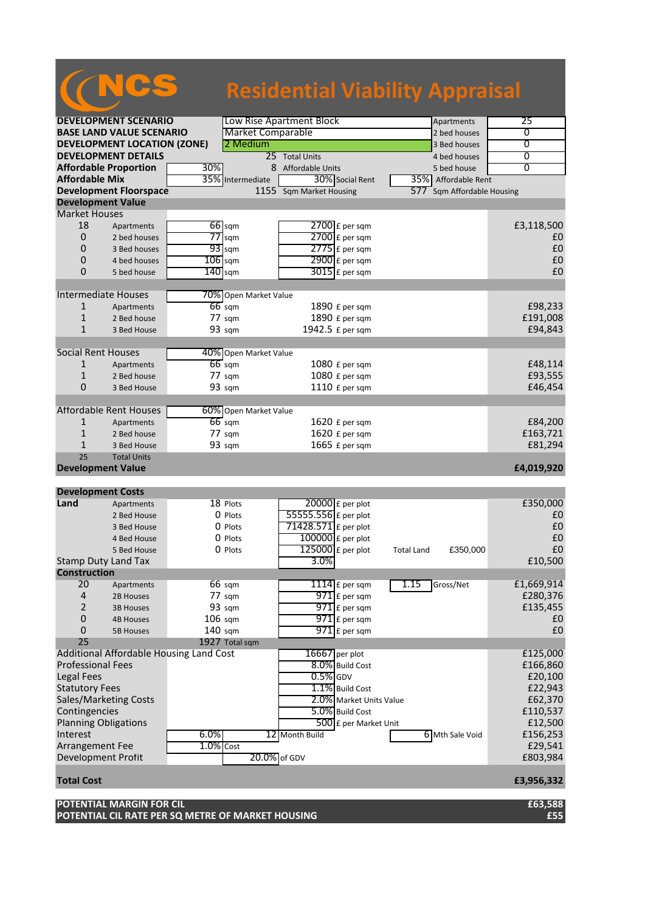|                             |                                    |                                         | <b>Residential Viability Appraisal</b> |                         |                        |                   |
|-----------------------------|------------------------------------|-----------------------------------------|----------------------------------------|-------------------------|------------------------|-------------------|
|                             |                                    |                                         |                                        |                         |                        |                   |
|                             | <b>DEVELOPMENT SCENARIO</b>        |                                         | Low Rise Apartment Block               |                         | Apartments             | 25                |
|                             | <b>BASE LAND VALUE SCENARIO</b>    |                                         | <b>Market Comparable</b>               |                         | 2 bed houses           | 0                 |
|                             | <b>DEVELOPMENT LOCATION (ZONE)</b> |                                         | 2 Medium                               |                         | 3 Bed houses           | $\overline{0}$    |
|                             | <b>DEVELOPMENT DETAILS</b>         |                                         | 25 Total Units                         |                         | 4 bed houses           | 0                 |
|                             | <b>Affordable Proportion</b>       | 30%                                     | 8 Affordable Units                     |                         | 5 bed house            | $\overline{0}$    |
| <b>Affordable Mix</b>       |                                    | 35%                                     | Intermediate                           | 30% Social Rent         | 35% Affordable Rent    |                   |
|                             | <b>Development Floorspace</b>      |                                         | 1155 Sqm Market Housing                | 577                     | Sqm Affordable Housing |                   |
| <b>Development Value</b>    |                                    |                                         |                                        |                         |                        |                   |
| <b>Market Houses</b>        |                                    |                                         |                                        |                         |                        |                   |
| 18                          | Apartments                         | $66$ sqm                                |                                        | $2700$ £ per sqm        |                        | £3,118,500        |
| $\overline{0}$              | 2 bed houses                       | $77$ sqm                                | 2700 £ per sqm                         |                         |                        | £0                |
| 0                           | 3 Bed houses                       | $93$ sqm                                | $2775$ $E$ per sqm                     |                         |                        | £0                |
| 0                           | 4 bed houses                       | $106$ sqm                               | $2900 \text{ f}$ per sqm               |                         |                        | £0                |
| $\Omega$                    | 5 bed house                        | $140$ sqm                               | $3015$ £ per sqm                       |                         |                        | £0                |
|                             |                                    |                                         |                                        |                         |                        |                   |
| <b>Intermediate Houses</b>  |                                    |                                         | 70% Open Market Value                  |                         |                        |                   |
| $\mathbf{1}$                | Apartments                         | $66$ sqm                                | 1890 £ per sqm                         |                         |                        | £98,233           |
| $\mathbf{1}$                | 2 Bed house                        | $77 \text{ sqm}$                        | 1890 £ per sqm                         |                         |                        | £191,008          |
| $\mathbf{1}$                | 3 Bed House                        | 93 sqm                                  | 1942.5 £ per sqm                       |                         |                        | £94,843           |
| <b>Social Rent Houses</b>   |                                    |                                         | 40% Open Market Value                  |                         |                        |                   |
| 1                           | Apartments                         | $66$ sqm                                | 1080 £ per sqm                         |                         |                        | £48,114           |
| $\mathbf{1}$                | 2 Bed house                        | 77 sqm                                  | 1080 £ per sqm                         |                         |                        | £93,555           |
| $\overline{0}$              | 3 Bed House                        | 93 sqm                                  | 1110 £ per sqm                         |                         |                        | £46,454           |
|                             |                                    |                                         |                                        |                         |                        |                   |
|                             | <b>Affordable Rent Houses</b>      |                                         | 60% Open Market Value                  |                         |                        |                   |
| 1                           | Apartments                         | $66$ sqm                                | $1620$ £ per sqm                       |                         |                        | £84,200           |
| $\mathbf{1}$                | 2 Bed house                        | $77 \text{ sqm}$                        | 1620 £ per sqm                         |                         |                        | £163,721          |
| $\mathbf{1}$                | 3 Bed House                        | 93 sqm                                  | 1665 £ per sqm                         |                         |                        | £81,294           |
| 25                          | <b>Total Units</b>                 |                                         |                                        |                         |                        |                   |
| <b>Development Value</b>    |                                    |                                         |                                        |                         |                        | £4,019,920        |
| <b>Development Costs</b>    |                                    |                                         |                                        |                         |                        |                   |
| Land                        | Apartments                         | 18 Plots                                | 20000 £ per plot                       |                         |                        | £350,000          |
|                             | 2 Bed House                        | 0 Plots                                 | 55555.556 £ per plot                   |                         |                        | £0                |
|                             | 3 Bed House                        | 0 Plots                                 | 71428.571 $\epsilon$ per plot          |                         |                        | £0                |
|                             | 4 Bed House                        | 0 Plots                                 | $100000$ £ per plot                    |                         |                        | £0                |
|                             | 5 Bed House                        | 0 Plots                                 | $125000$ £ per plot                    | <b>Total Land</b>       | £350,000               | $\pmb{\text{f0}}$ |
| Stamp Duty Land Tax         |                                    |                                         | 3.0%                                   |                         |                        | £10,500           |
| <b>Construction</b>         |                                    |                                         |                                        |                         |                        |                   |
| 20                          | Apartments                         | $66 \text{ sqm}$                        | $1114$ $E$ per sqm                     | 1.15                    | Gross/Net              | £1,669,914        |
| 4                           | 2B Houses                          | 77 sqm                                  |                                        | $971$ $E$ per sqm       |                        | £280,376          |
| $\overline{2}$              | <b>3B Houses</b>                   | 93 sqm                                  |                                        | $971$ £ per sqm         |                        | £135,455          |
| $\pmb{0}$                   | <b>4B Houses</b>                   | $106$ sqm                               |                                        | $971$ $E$ per sqm       |                        | £0                |
| 0                           | <b>5B Houses</b>                   | 140 sqm                                 |                                        | $971$ $E$ per sqm       |                        | £0                |
| 25                          |                                    | 1927 Total sqm                          |                                        |                         |                        |                   |
|                             |                                    | Additional Affordable Housing Land Cost | 16667 per plot                         |                         |                        | £125,000          |
| <b>Professional Fees</b>    |                                    |                                         |                                        | 8.0% Build Cost         |                        | £166,860          |
| Legal Fees                  |                                    |                                         | $0.5\%$ GDV                            |                         |                        | £20,100           |
| <b>Statutory Fees</b>       |                                    |                                         |                                        | 1.1% Build Cost         |                        | £22,943           |
|                             | Sales/Marketing Costs              |                                         |                                        | 2.0% Market Units Value |                        | £62,370           |
| Contingencies               |                                    |                                         |                                        | 5.0% Build Cost         |                        | £110,537          |
| <b>Planning Obligations</b> |                                    |                                         |                                        | 500 £ per Market Unit   |                        | £12,500           |
| Interest                    |                                    | 6.0%                                    | 12 Month Build                         |                         | 6 Mth Sale Void        | £156,253          |
| Arrangement Fee             |                                    | $1.0\%$ Cost                            |                                        |                         |                        | £29,541           |
| Development Profit          |                                    |                                         | 20.0% of GDV                           |                         |                        | £803,984          |
| <b>Total Cost</b>           |                                    |                                         |                                        |                         |                        | £3,956,332        |

**POTENTIAL MARGIN FOR CIL £63,588 POTENTIAL CIL RATE PER SQ METRE OF MARKET HOUSING £55**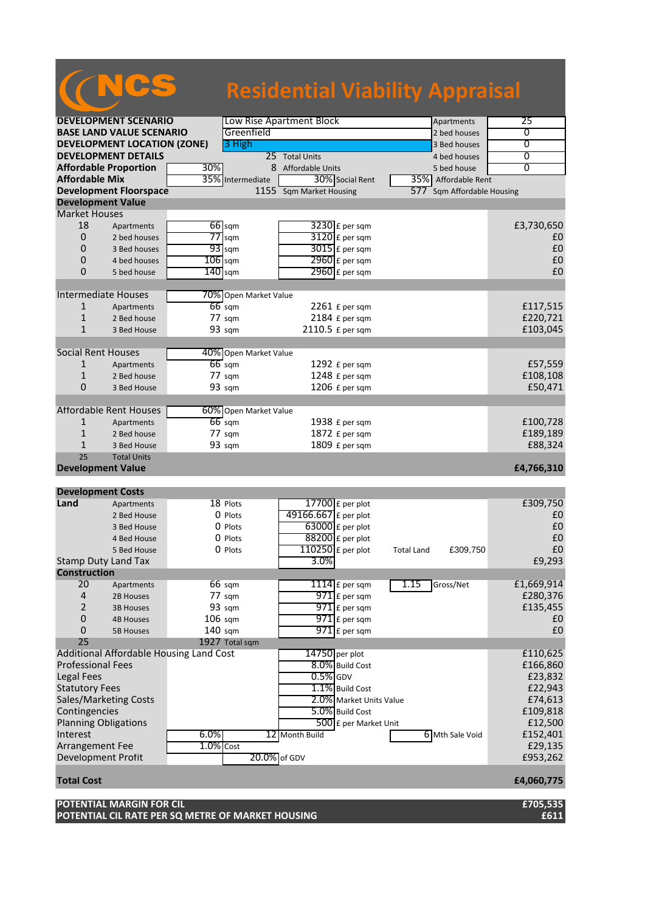|                           |                                         |                  |                       |                                |                         | <b>Residential Viability Appraisal</b> |                |
|---------------------------|-----------------------------------------|------------------|-----------------------|--------------------------------|-------------------------|----------------------------------------|----------------|
|                           | <b>DEVELOPMENT SCENARIO</b>             |                  |                       | Low Rise Apartment Block       |                         | Apartments                             | 25             |
|                           | <b>BASE LAND VALUE SCENARIO</b>         |                  | Greenfield            |                                |                         | 2 bed houses                           | 0              |
|                           | <b>DEVELOPMENT LOCATION (ZONE)</b>      |                  |                       |                                |                         |                                        | $\overline{0}$ |
|                           |                                         |                  | 3 High                |                                |                         | 3 Bed houses                           |                |
|                           | <b>DEVELOPMENT DETAILS</b>              |                  |                       | 25 Total Units                 |                         | 4 bed houses                           | 0              |
|                           | <b>Affordable Proportion</b>            | 30%              |                       | 8 Affordable Units             |                         | 5 bed house                            | $\overline{0}$ |
| <b>Affordable Mix</b>     |                                         |                  | 35% Intermediate      | 30% Social Rent                |                         | 35% Affordable Rent                    |                |
|                           | <b>Development Floorspace</b>           |                  |                       | 1155 Sqm Market Housing        |                         | 577<br>Sqm Affordable Housing          |                |
| <b>Development Value</b>  |                                         |                  |                       |                                |                         |                                        |                |
| <b>Market Houses</b>      |                                         |                  |                       |                                |                         |                                        |                |
| 18                        | Apartments                              | $66$ sqm         |                       | $3230$ £ per sqm               |                         |                                        | £3,730,650     |
| 0                         | 2 bed houses                            | $77$ sqm         |                       | 3120 £ per sqm                 |                         |                                        | £0             |
| 0                         | 3 Bed houses                            | $93$ sqm         |                       | $3015$ £ per sqm               |                         |                                        | £0             |
| 0                         | 4 bed houses                            | $106$ sqm        |                       | 2960 £ per sqm                 |                         |                                        | £0             |
| 0                         | 5 bed house                             | $140$ sqm        |                       | $2960$ £ per sqm               |                         |                                        | £0             |
|                           |                                         |                  |                       |                                |                         |                                        |                |
|                           |                                         |                  |                       |                                |                         |                                        |                |
|                           | <b>Intermediate Houses</b>              |                  | 70% Open Market Value |                                |                         |                                        |                |
| 1                         | Apartments                              | $66$ sqm         |                       | $2261$ £ per sqm               |                         |                                        | £117,515       |
| $\mathbf{1}$              | 2 Bed house                             | 77 sqm           |                       | 2184 £ per sqm                 |                         |                                        | £220,721       |
| $\mathbf{1}$              | 3 Bed House                             | 93 sqm           |                       | 2110.5 £ per sqm               |                         |                                        | £103,045       |
|                           |                                         |                  |                       |                                |                         |                                        |                |
| <b>Social Rent Houses</b> |                                         |                  | 40% Open Market Value |                                |                         |                                        |                |
| 1                         |                                         | $66$ sqm         |                       | 1292 £ per sqm                 |                         |                                        | £57,559        |
|                           | Apartments                              |                  |                       |                                |                         |                                        |                |
| 1                         | 2 Bed house                             | $77 \text{ sqm}$ |                       | 1248 £ per sqm                 |                         |                                        | £108,108       |
| 0                         | 3 Bed House                             | 93 sqm           |                       | 1206 £ per sqm                 |                         |                                        | £50,471        |
|                           |                                         |                  |                       |                                |                         |                                        |                |
|                           | <b>Affordable Rent Houses</b>           |                  | 60% Open Market Value |                                |                         |                                        |                |
| 1                         | Apartments                              | $66$ sqm         |                       | 1938 £ per sqm                 |                         |                                        | £100,728       |
| 1                         | 2 Bed house                             | $77 \text{ sqm}$ |                       | 1872 £ per sqm                 |                         |                                        | £189,189       |
| $\mathbf{1}$              | 3 Bed House                             | 93 sqm           |                       | 1809 £ per sqm                 |                         |                                        | £88,324        |
| 25                        | <b>Total Units</b>                      |                  |                       |                                |                         |                                        |                |
| <b>Development Value</b>  |                                         |                  |                       |                                |                         |                                        | £4,766,310     |
|                           |                                         |                  |                       |                                |                         |                                        |                |
|                           |                                         |                  |                       |                                |                         |                                        |                |
| <b>Development Costs</b>  |                                         |                  |                       |                                |                         |                                        |                |
| Land                      | Apartments                              | 18 Plots         |                       | $17700$ £ per plot             |                         |                                        | £309,750       |
|                           | 2 Bed House                             | 0 Plots          |                       | 49166.667 £ per plot           |                         |                                        | £0             |
|                           | 3 Bed House                             | 0 Plots          |                       | $63000$ £ per plot             |                         |                                        | £0             |
|                           | 4 Bed House                             | O Plots          |                       | $88200$ £ per plot             |                         |                                        | £0             |
|                           | 5 Bed House                             | 0 Plots          |                       | $\overline{110250}$ £ per plot |                         | £309,750<br><b>Total Land</b>          | £0             |
|                           | Stamp Duty Land Tax                     |                  |                       | 3.0%                           |                         |                                        | £9,293         |
| <b>Construction</b>       |                                         |                  |                       |                                |                         |                                        |                |
| 20                        |                                         | $66 \text{ sqm}$ |                       | $1114$ E per sqm               |                         | 1.15<br>Gross/Net                      | £1,669,914     |
|                           | Apartments                              |                  |                       |                                |                         |                                        |                |
| $\overline{4}$            | 2B Houses                               | 77 sqm           |                       | $971$ $E$ per sqm              |                         |                                        | £280,376       |
| 2                         | <b>3B Houses</b>                        | 93 sqm           |                       | $971$ $E$ per sqm              |                         |                                        | £135,455       |
| $\mathbf 0$               | <b>4B Houses</b>                        | $106$ sqm        |                       | $971$ $E$ per sqm              |                         |                                        | £0             |
| 0                         | <b>5B Houses</b>                        | $140$ sqm        |                       | $971$ $E$ per sqm              |                         |                                        | £0             |
| 25                        |                                         | 1927 Total sqm   |                       |                                |                         |                                        |                |
|                           | Additional Affordable Housing Land Cost |                  |                       | 14750 per plot                 |                         |                                        | £110,625       |
| <b>Professional Fees</b>  |                                         |                  |                       | 8.0% Build Cost                |                         |                                        | £166,860       |
| <b>Legal Fees</b>         |                                         |                  |                       | $0.5%$ GDV                     |                         |                                        | £23,832        |
| <b>Statutory Fees</b>     |                                         |                  |                       | 1.1% Build Cost                |                         |                                        |                |
|                           |                                         |                  |                       |                                |                         |                                        | £22,943        |
|                           | Sales/Marketing Costs                   |                  |                       |                                | 2.0% Market Units Value |                                        | £74,613        |
| Contingencies             |                                         |                  |                       | 5.0% Build Cost                |                         |                                        | £109,818       |
|                           | <b>Planning Obligations</b>             |                  |                       |                                | 500 £ per Market Unit   |                                        | £12,500        |
| Interest                  |                                         | 6.0%             |                       | 12 Month Build                 |                         | 6 Mth Sale Void                        | £152,401       |
| <b>Arrangement Fee</b>    |                                         | $1.0\%$ Cost     |                       |                                |                         |                                        | £29,135        |
| Development Profit        |                                         |                  | 20.0% of GDV          |                                |                         |                                        | £953,262       |
|                           |                                         |                  |                       |                                |                         |                                        |                |
| <b>Total Cost</b>         |                                         |                  |                       |                                |                         |                                        | £4,060,775     |

**POTENTIAL MARGIN FOR CIL £705,535 POTENTIAL CIL RATE PER SQ METRE OF MARKET HOUSING £611**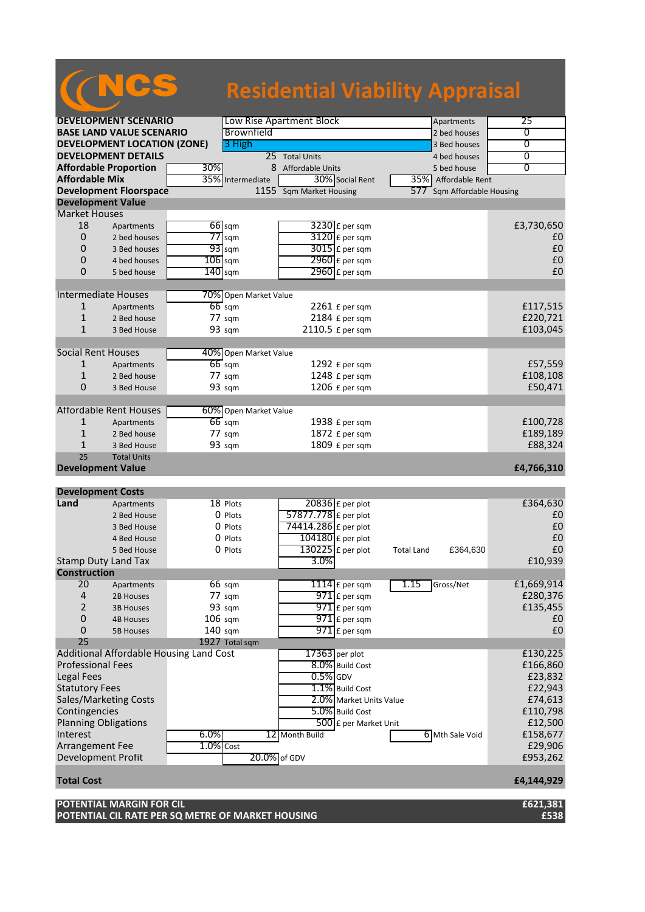|                           |                                         |                |                                        | <b>Residential Viability Appraisal</b> |                         |                   |                        |                   |
|---------------------------|-----------------------------------------|----------------|----------------------------------------|----------------------------------------|-------------------------|-------------------|------------------------|-------------------|
|                           | <b>DEVELOPMENT SCENARIO</b>             |                | Low Rise Apartment Block<br>Apartments |                                        |                         |                   |                        | 25                |
|                           | <b>BASE LAND VALUE SCENARIO</b>         |                | Brownfield                             |                                        |                         |                   | 2 bed houses           | 0                 |
|                           | <b>DEVELOPMENT LOCATION (ZONE)</b>      |                | 3 High                                 |                                        |                         |                   | 3 Bed houses           | $\overline{0}$    |
|                           | <b>DEVELOPMENT DETAILS</b>              |                |                                        | 25 Total Units                         |                         |                   | 4 bed houses           | 0                 |
|                           |                                         |                |                                        |                                        |                         |                   |                        | $\overline{0}$    |
| <b>Affordable Mix</b>     | <b>Affordable Proportion</b>            | 30%            | 8                                      | Affordable Units                       |                         |                   | 5 bed house            |                   |
|                           |                                         |                | 35% Intermediate                       |                                        | 30% Social Rent         |                   | 35% Affordable Rent    |                   |
|                           | <b>Development Floorspace</b>           |                | $1155$ <sup><math>-</math></sup>       | Sqm Market Housing                     |                         | 577               | Sqm Affordable Housing |                   |
| <b>Development Value</b>  |                                         |                |                                        |                                        |                         |                   |                        |                   |
| <b>Market Houses</b>      |                                         |                |                                        |                                        |                         |                   |                        |                   |
| 18                        | Apartments                              | $66$ sqm       |                                        |                                        | $3230$ £ per sqm        |                   |                        | £3,730,650        |
| $\overline{0}$            | 2 bed houses                            | $77$ sqm       |                                        |                                        | 3120 £ per sqm          |                   |                        | £0                |
| 0                         | 3 Bed houses                            | $93$ sqm       |                                        |                                        | $3015$ £ per sqm        |                   |                        | £0                |
| 0                         | 4 bed houses                            | $106$ sqm      |                                        |                                        | 2960 £ per sqm          |                   |                        | £0                |
| $\Omega$                  | 5 bed house                             | $140$ sqm      |                                        |                                        | $2960$ £ per sqm        |                   |                        | £0                |
|                           |                                         |                |                                        |                                        |                         |                   |                        |                   |
|                           | <b>Intermediate Houses</b>              |                | 70% Open Market Value                  |                                        |                         |                   |                        |                   |
| $\mathbf{1}$              | Apartments                              | $66$ sqm       |                                        |                                        | $2261$ £ per sqm        |                   |                        | £117,515          |
| 1                         | 2 Bed house                             | 77 sqm         |                                        |                                        | 2184 £ per sqm          |                   |                        | £220,721          |
| $\mathbf{1}$              | 3 Bed House                             | 93 sqm         |                                        |                                        | 2110.5 £ per sqm        |                   |                        | £103,045          |
| <b>Social Rent Houses</b> |                                         |                | 40% Open Market Value                  |                                        |                         |                   |                        |                   |
| 1                         | Apartments                              | $66$ sqm       |                                        |                                        | 1292 £ per sqm          |                   |                        | £57,559           |
| $\mathbf{1}$              | 2 Bed house                             | 77 sqm         |                                        |                                        | 1248 £ per sqm          |                   |                        | £108,108          |
| 0                         |                                         | 93 sqm         |                                        |                                        | 1206 £ per sqm          |                   |                        | £50,471           |
|                           | 3 Bed House                             |                |                                        |                                        |                         |                   |                        |                   |
|                           | <b>Affordable Rent Houses</b>           |                | 60% Open Market Value                  |                                        |                         |                   |                        |                   |
| $\mathbf{1}$              | Apartments                              | $66$ sqm       |                                        |                                        | 1938 £ per sqm          |                   |                        | £100,728          |
| $\mathbf{1}$              | 2 Bed house                             | 77 sqm         |                                        |                                        | 1872 £ per sqm          |                   |                        | £189,189          |
| $\mathbf{1}$              | 3 Bed House                             | 93 sqm         |                                        |                                        | 1809 £ per sqm          |                   |                        | £88,324           |
| 25                        | <b>Total Units</b>                      |                |                                        |                                        |                         |                   |                        |                   |
| <b>Development Value</b>  |                                         |                |                                        |                                        |                         |                   |                        | £4,766,310        |
|                           |                                         |                |                                        |                                        |                         |                   |                        |                   |
| <b>Development Costs</b>  |                                         |                |                                        |                                        |                         |                   |                        |                   |
| Land                      | Apartments                              | 18 Plots       |                                        |                                        | $20836$ £ per plot      |                   |                        | £364,630          |
|                           | 2 Bed House                             | 0 Plots        |                                        | 57877.778 £ per plot                   |                         |                   |                        | £0                |
|                           | 3 Bed House                             | 0 Plots        |                                        | 74414.286 £ per plot                   |                         |                   |                        | £0                |
|                           | 4 Bed House                             | 0 Plots        |                                        | $104180$ £ per plot                    |                         |                   |                        | £0                |
|                           | 5 Bed House                             | 0 Plots        |                                        | $\overline{130225}$ £ per plot         |                         | <b>Total Land</b> | £364,630               | $\pmb{\text{f0}}$ |
|                           | <b>Stamp Duty Land Tax</b>              |                |                                        | 3.0%                                   |                         |                   |                        | £10,939           |
| <b>Construction</b>       |                                         |                |                                        |                                        |                         |                   |                        |                   |
| 20                        | Apartments                              | 66 sqm         |                                        |                                        | $1114$ $E$ per sqm      | 1.15              | Gross/Net              | £1,669,914        |
| 4                         | 2B Houses                               | 77 sqm         |                                        |                                        | $971$ $E$ per sqm       |                   |                        | £280,376          |
| 2                         | <b>3B Houses</b>                        | 93 sqm         |                                        |                                        | $971$ $E$ per sqm       |                   |                        | £135,455          |
| $\mathbf 0$               | <b>4B Houses</b>                        | $106$ sqm      |                                        |                                        | $971$ $E$ per sqm       |                   |                        | £0                |
| 0                         | <b>5B Houses</b>                        | $140$ sqm      |                                        |                                        | $971$ £ per sqm         |                   |                        | £0                |
| 25                        |                                         | 1927 Total sqm |                                        |                                        |                         |                   |                        |                   |
|                           | Additional Affordable Housing Land Cost |                |                                        | $17363$ per plot                       |                         |                   |                        | £130,225          |
| <b>Professional Fees</b>  |                                         |                |                                        |                                        | 8.0% Build Cost         |                   |                        | £166,860          |
| Legal Fees                |                                         |                |                                        | $0.5%$ GDV                             |                         |                   |                        | £23,832           |
| <b>Statutory Fees</b>     |                                         |                |                                        |                                        | 1.1% Build Cost         |                   |                        | £22,943           |
|                           | Sales/Marketing Costs                   |                |                                        |                                        | 2.0% Market Units Value |                   |                        | £74,613           |
| Contingencies             |                                         |                |                                        |                                        | 5.0% Build Cost         |                   |                        | £110,798          |
|                           | <b>Planning Obligations</b>             |                |                                        |                                        | 500 £ per Market Unit   |                   |                        | £12,500           |
| Interest                  |                                         | 6.0%           |                                        | 12 Month Build                         |                         |                   | 6 Mth Sale Void        | £158,677          |
| Arrangement Fee           |                                         | $1.0\%$ Cost   |                                        |                                        |                         |                   |                        | £29,906           |
| Development Profit        |                                         |                | 20.0% of GDV                           |                                        |                         |                   |                        | £953,262          |
|                           |                                         |                |                                        |                                        |                         |                   |                        |                   |
| <b>Total Cost</b>         |                                         |                |                                        |                                        |                         |                   |                        | £4,144,929        |
|                           |                                         |                |                                        |                                        |                         |                   |                        |                   |

**POTENTIAL MARGIN FOR CIL £621,381 POTENTIAL CIL RATE PER SQ METRE OF MARKET HOUSING £538**